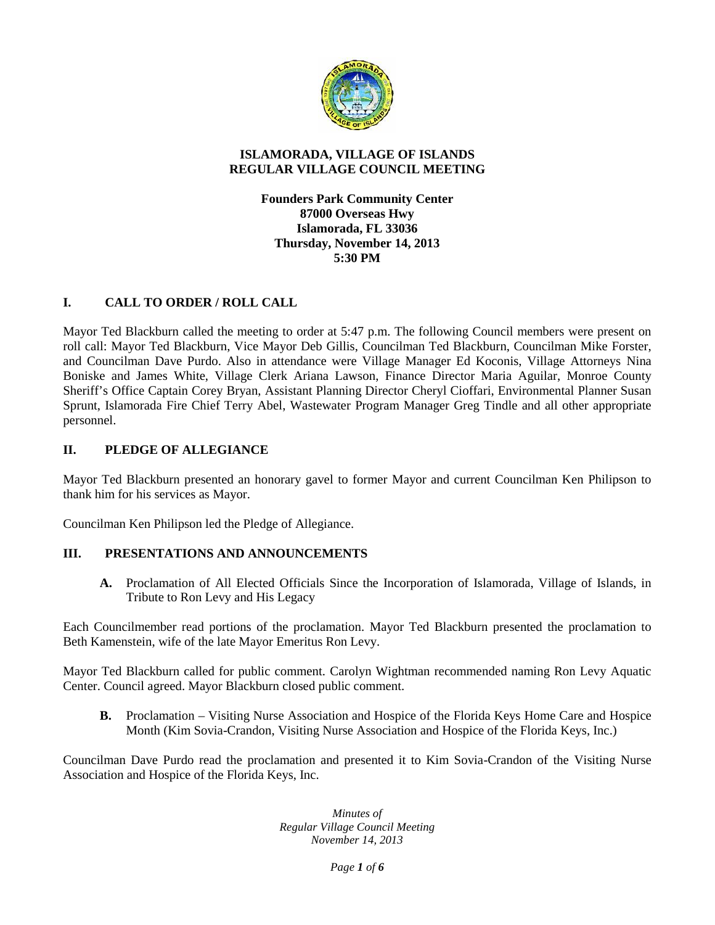

#### **ISLAMORADA, VILLAGE OF ISLANDS REGULAR VILLAGE COUNCIL MEETING**

**Founders Park Community Center 87000 Overseas Hwy Islamorada, FL 33036 Thursday, November 14, 2013 5:30 PM**

# **I. CALL TO ORDER / ROLL CALL**

Mayor Ted Blackburn called the meeting to order at 5:47 p.m. The following Council members were present on roll call: Mayor Ted Blackburn, Vice Mayor Deb Gillis, Councilman Ted Blackburn, Councilman Mike Forster, and Councilman Dave Purdo. Also in attendance were Village Manager Ed Koconis, Village Attorneys Nina Boniske and James White, Village Clerk Ariana Lawson, Finance Director Maria Aguilar, Monroe County Sheriff's Office Captain Corey Bryan, Assistant Planning Director Cheryl Cioffari, Environmental Planner Susan Sprunt, Islamorada Fire Chief Terry Abel, Wastewater Program Manager Greg Tindle and all other appropriate personnel.

#### **II. PLEDGE OF ALLEGIANCE**

Mayor Ted Blackburn presented an honorary gavel to former Mayor and current Councilman Ken Philipson to thank him for his services as Mayor.

Councilman Ken Philipson led the Pledge of Allegiance.

## **III. PRESENTATIONS AND ANNOUNCEMENTS**

**A.** Proclamation of All Elected Officials Since the Incorporation of Islamorada, Village of Islands, in Tribute to Ron Levy and His Legacy

Each Councilmember read portions of the proclamation. Mayor Ted Blackburn presented the proclamation to Beth Kamenstein, wife of the late Mayor Emeritus Ron Levy.

Mayor Ted Blackburn called for public comment. Carolyn Wightman recommended naming Ron Levy Aquatic Center. Council agreed. Mayor Blackburn closed public comment.

**B.** Proclamation – Visiting Nurse Association and Hospice of the Florida Keys Home Care and Hospice Month (Kim Sovia-Crandon, Visiting Nurse Association and Hospice of the Florida Keys, Inc.)

Councilman Dave Purdo read the proclamation and presented it to Kim Sovia-Crandon of the Visiting Nurse Association and Hospice of the Florida Keys, Inc.

> *Minutes of Regular Village Council Meeting November 14, 2013*

> > *Page 1 of 6*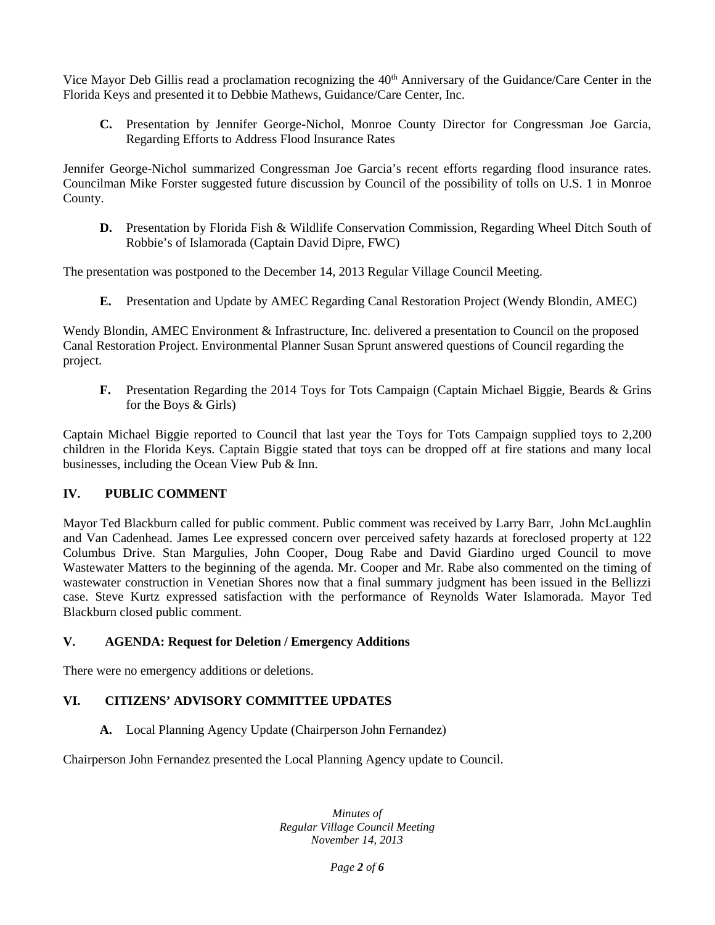Vice Mayor Deb Gillis read a proclamation recognizing the 40<sup>th</sup> Anniversary of the Guidance/Care Center in the Florida Keys and presented it to Debbie Mathews, Guidance/Care Center, Inc.

**C.** Presentation by Jennifer George-Nichol, Monroe County Director for Congressman Joe Garcia, Regarding Efforts to Address Flood Insurance Rates

Jennifer George-Nichol summarized Congressman Joe Garcia's recent efforts regarding flood insurance rates. Councilman Mike Forster suggested future discussion by Council of the possibility of tolls on U.S. 1 in Monroe County.

**D.** Presentation by Florida Fish & Wildlife Conservation Commission, Regarding Wheel Ditch South of Robbie's of Islamorada (Captain David Dipre, FWC)

The presentation was postponed to the December 14, 2013 Regular Village Council Meeting.

**E.** Presentation and Update by AMEC Regarding Canal Restoration Project (Wendy Blondin, AMEC)

Wendy Blondin, AMEC Environment & Infrastructure, Inc. delivered a presentation to Council on the proposed Canal Restoration Project. Environmental Planner Susan Sprunt answered questions of Council regarding the project.

**F.** Presentation Regarding the 2014 Toys for Tots Campaign (Captain Michael Biggie, Beards & Grins for the Boys & Girls)

Captain Michael Biggie reported to Council that last year the Toys for Tots Campaign supplied toys to 2,200 children in the Florida Keys. Captain Biggie stated that toys can be dropped off at fire stations and many local businesses, including the Ocean View Pub & Inn.

## **IV. PUBLIC COMMENT**

Mayor Ted Blackburn called for public comment. Public comment was received by Larry Barr, John McLaughlin and Van Cadenhead. James Lee expressed concern over perceived safety hazards at foreclosed property at 122 Columbus Drive. Stan Margulies, John Cooper, Doug Rabe and David Giardino urged Council to move Wastewater Matters to the beginning of the agenda. Mr. Cooper and Mr. Rabe also commented on the timing of wastewater construction in Venetian Shores now that a final summary judgment has been issued in the Bellizzi case. Steve Kurtz expressed satisfaction with the performance of Reynolds Water Islamorada. Mayor Ted Blackburn closed public comment.

#### **V. AGENDA: Request for Deletion / Emergency Additions**

There were no emergency additions or deletions.

## **VI. CITIZENS' ADVISORY COMMITTEE UPDATES**

**A.** Local Planning Agency Update (Chairperson John Fernandez)

Chairperson John Fernandez presented the Local Planning Agency update to Council.

*Minutes of Regular Village Council Meeting November 14, 2013*

*Page 2 of 6*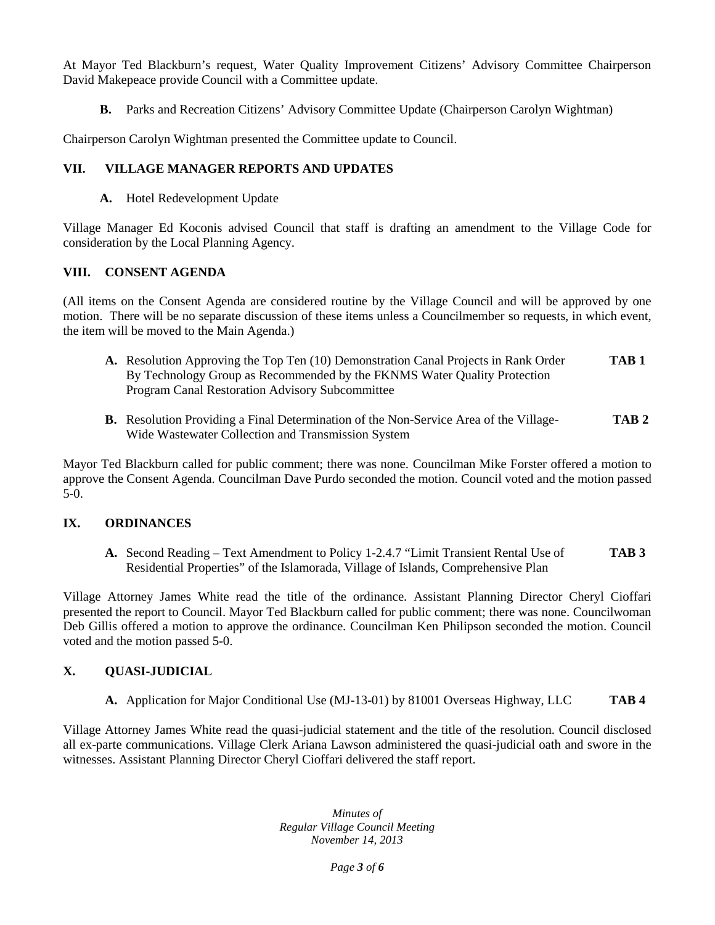At Mayor Ted Blackburn's request, Water Quality Improvement Citizens' Advisory Committee Chairperson David Makepeace provide Council with a Committee update.

**B.** Parks and Recreation Citizens' Advisory Committee Update (Chairperson Carolyn Wightman)

Chairperson Carolyn Wightman presented the Committee update to Council.

## **VII. VILLAGE MANAGER REPORTS AND UPDATES**

**A.** Hotel Redevelopment Update

Village Manager Ed Koconis advised Council that staff is drafting an amendment to the Village Code for consideration by the Local Planning Agency.

#### **VIII. CONSENT AGENDA**

(All items on the Consent Agenda are considered routine by the Village Council and will be approved by one motion. There will be no separate discussion of these items unless a Councilmember so requests, in which event, the item will be moved to the Main Agenda.)

- **A.** Resolution Approving the Top Ten (10) Demonstration Canal Projects in Rank Order **TAB 1** By Technology Group as Recommended by the FKNMS Water Quality Protection Program Canal Restoration Advisory Subcommittee
- **B.** Resolution Providing a Final Determination of the Non-Service Area of the Village- **TAB 2** Wide Wastewater Collection and Transmission System

Mayor Ted Blackburn called for public comment; there was none. Councilman Mike Forster offered a motion to approve the Consent Agenda. Councilman Dave Purdo seconded the motion. Council voted and the motion passed 5-0.

## **IX. ORDINANCES**

**A.** Second Reading – Text Amendment to Policy 1-2.4.7 "Limit Transient Rental Use of **TAB 3** Residential Properties" of the Islamorada, Village of Islands, Comprehensive Plan

Village Attorney James White read the title of the ordinance. Assistant Planning Director Cheryl Cioffari presented the report to Council. Mayor Ted Blackburn called for public comment; there was none. Councilwoman Deb Gillis offered a motion to approve the ordinance. Councilman Ken Philipson seconded the motion. Council voted and the motion passed 5-0.

## **X. QUASI-JUDICIAL**

**A.** Application for Major Conditional Use (MJ-13-01) by 81001 Overseas Highway, LLC **TAB 4**

Village Attorney James White read the quasi-judicial statement and the title of the resolution. Council disclosed all ex-parte communications. Village Clerk Ariana Lawson administered the quasi-judicial oath and swore in the witnesses. Assistant Planning Director Cheryl Cioffari delivered the staff report.

> *Minutes of Regular Village Council Meeting November 14, 2013*

> > *Page 3 of 6*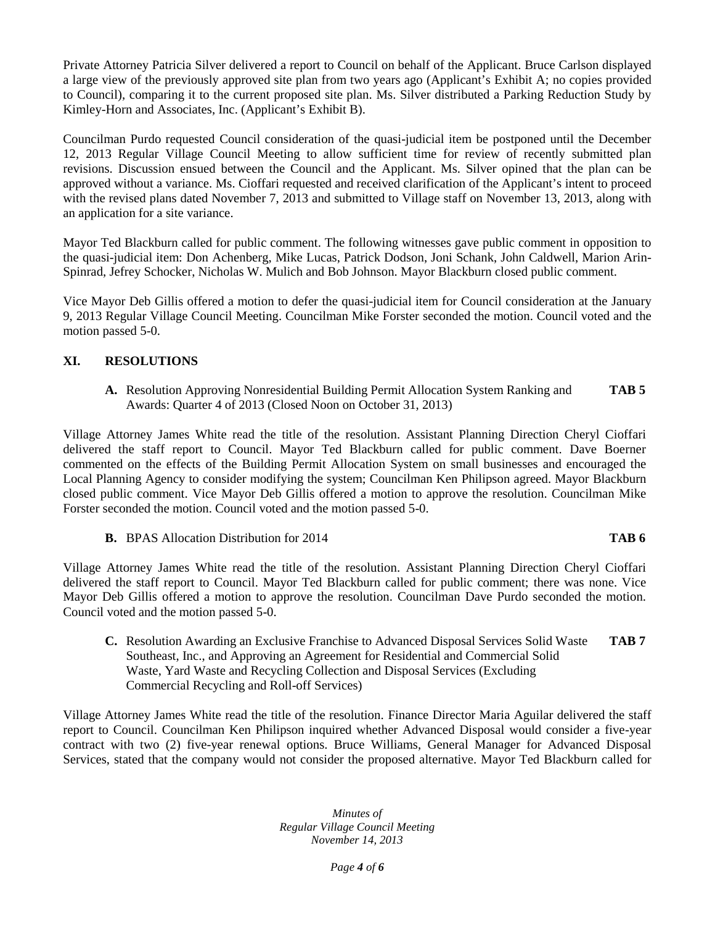Private Attorney Patricia Silver delivered a report to Council on behalf of the Applicant. Bruce Carlson displayed a large view of the previously approved site plan from two years ago (Applicant's Exhibit A; no copies provided to Council), comparing it to the current proposed site plan. Ms. Silver distributed a Parking Reduction Study by Kimley-Horn and Associates, Inc. (Applicant's Exhibit B).

Councilman Purdo requested Council consideration of the quasi-judicial item be postponed until the December 12, 2013 Regular Village Council Meeting to allow sufficient time for review of recently submitted plan revisions. Discussion ensued between the Council and the Applicant. Ms. Silver opined that the plan can be approved without a variance. Ms. Cioffari requested and received clarification of the Applicant's intent to proceed with the revised plans dated November 7, 2013 and submitted to Village staff on November 13, 2013, along with an application for a site variance.

Mayor Ted Blackburn called for public comment. The following witnesses gave public comment in opposition to the quasi-judicial item: Don Achenberg, Mike Lucas, Patrick Dodson, Joni Schank, John Caldwell, Marion Arin- Spinrad, Jefrey Schocker, Nicholas W. Mulich and Bob Johnson. Mayor Blackburn closed public comment.

Vice Mayor Deb Gillis offered a motion to defer the quasi-judicial item for Council consideration at the January 9, 2013 Regular Village Council Meeting. Councilman Mike Forster seconded the motion. Council voted and the motion passed 5-0.

## **XI. RESOLUTIONS**

**A.** Resolution Approving Nonresidential Building Permit Allocation System Ranking and **TAB 5** Awards: Quarter 4 of 2013 (Closed Noon on October 31, 2013)

Village Attorney James White read the title of the resolution. Assistant Planning Direction Cheryl Cioffari delivered the staff report to Council. Mayor Ted Blackburn called for public comment. Dave Boerner commented on the effects of the Building Permit Allocation System on small businesses and encouraged the Local Planning Agency to consider modifying the system; Councilman Ken Philipson agreed. Mayor Blackburn closed public comment. Vice Mayor Deb Gillis offered a motion to approve the resolution. Councilman Mike Forster seconded the motion. Council voted and the motion passed 5-0.

#### **B.** BPAS Allocation Distribution for 2014 **TAB 6**

Village Attorney James White read the title of the resolution. Assistant Planning Direction Cheryl Cioffari delivered the staff report to Council. Mayor Ted Blackburn called for public comment; there was none. Vice Mayor Deb Gillis offered a motion to approve the resolution. Councilman Dave Purdo seconded the motion. Council voted and the motion passed 5-0.

**C.** Resolution Awarding an Exclusive Franchise to Advanced Disposal Services Solid Waste **TAB 7** Southeast, Inc., and Approving an Agreement for Residential and Commercial Solid Waste, Yard Waste and Recycling Collection and Disposal Services (Excluding Commercial Recycling and Roll-off Services)

Village Attorney James White read the title of the resolution. Finance Director Maria Aguilar delivered the staff report to Council. Councilman Ken Philipson inquired whether Advanced Disposal would consider a five-year contract with two (2) five-year renewal options. Bruce Williams, General Manager for Advanced Disposal Services, stated that the company would not consider the proposed alternative. Mayor Ted Blackburn called for

> *Minutes of Regular Village Council Meeting November 14, 2013*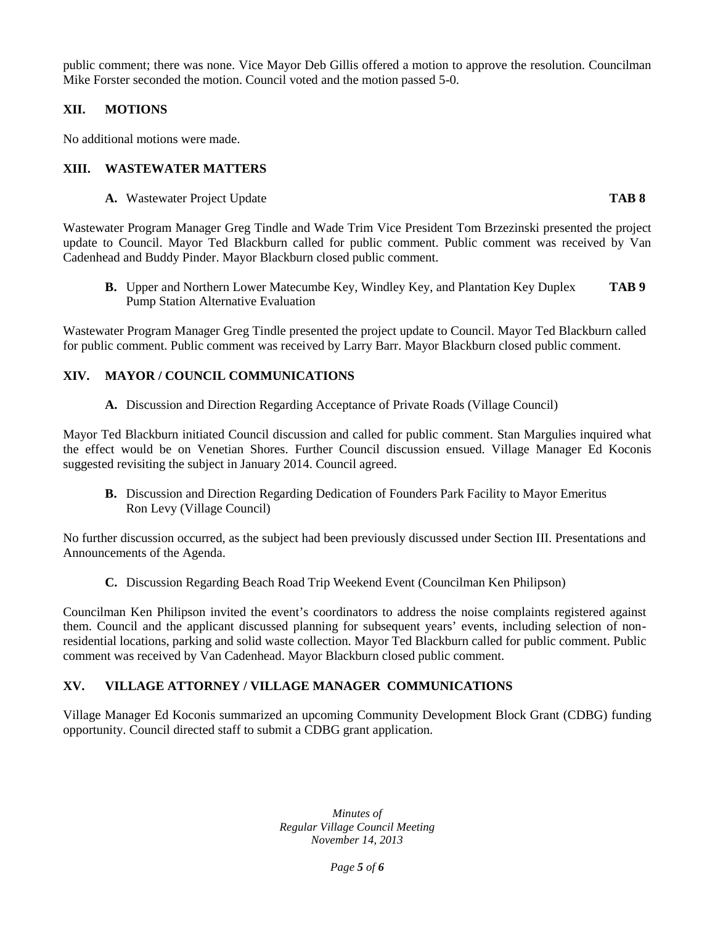public comment; there was none. Vice Mayor Deb Gillis offered a motion to approve the resolution. Councilman Mike Forster seconded the motion. Council voted and the motion passed 5-0.

# **XII. MOTIONS**

No additional motions were made.

## **XIII. WASTEWATER MATTERS**

**A.** Wastewater Project Update **TAB 8**

Wastewater Program Manager Greg Tindle and Wade Trim Vice President Tom Brzezinski presented the project update to Council. Mayor Ted Blackburn called for public comment. Public comment was received by Van Cadenhead and Buddy Pinder. Mayor Blackburn closed public comment.

**B.** Upper and Northern Lower Matecumbe Key, Windley Key, and Plantation Key Duplex **TAB 9** Pump Station Alternative Evaluation

Wastewater Program Manager Greg Tindle presented the project update to Council. Mayor Ted Blackburn called for public comment. Public comment was received by Larry Barr. Mayor Blackburn closed public comment.

# **XIV. MAYOR / COUNCIL COMMUNICATIONS**

**A.** Discussion and Direction Regarding Acceptance of Private Roads (Village Council)

Mayor Ted Blackburn initiated Council discussion and called for public comment. Stan Margulies inquired what the effect would be on Venetian Shores. Further Council discussion ensued. Village Manager Ed Koconis suggested revisiting the subject in January 2014. Council agreed.

**B.** Discussion and Direction Regarding Dedication of Founders Park Facility to Mayor Emeritus Ron Levy (Village Council)

No further discussion occurred, as the subject had been previously discussed under Section III. Presentations and Announcements of the Agenda.

**C.** Discussion Regarding Beach Road Trip Weekend Event (Councilman Ken Philipson)

Councilman Ken Philipson invited the event's coordinators to address the noise complaints registered against them. Council and the applicant discussed planning for subsequent years' events, including selection of nonresidential locations, parking and solid waste collection. Mayor Ted Blackburn called for public comment. Public comment was received by Van Cadenhead. Mayor Blackburn closed public comment.

# **XV. VILLAGE ATTORNEY / VILLAGE MANAGER COMMUNICATIONS**

Village Manager Ed Koconis summarized an upcoming Community Development Block Grant (CDBG) funding opportunity. Council directed staff to submit a CDBG grant application.

> *Minutes of Regular Village Council Meeting November 14, 2013*

> > *Page 5 of 6*